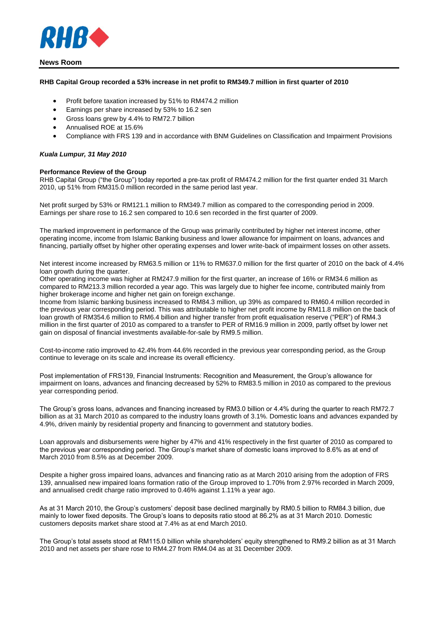

#### **RHB Capital Group recorded a 53% increase in net profit to RM349.7 million in first quarter of 2010**

- Profit before taxation increased by 51% to RM474.2 million
- Earnings per share increased by 53% to 16.2 sen
- Gross loans grew by 4.4% to RM72.7 billion
- Annualised ROE at 15.6%
- Compliance with FRS 139 and in accordance with BNM Guidelines on Classification and Impairment Provisions

#### *Kuala Lumpur, 31 May 2010*

#### **Performance Review of the Group**

RHB Capital Group ("the Group") today reported a pre-tax profit of RM474.2 million for the first quarter ended 31 March 2010, up 51% from RM315.0 million recorded in the same period last year.

Net profit surged by 53% or RM121.1 million to RM349.7 million as compared to the corresponding period in 2009. Earnings per share rose to 16.2 sen compared to 10.6 sen recorded in the first quarter of 2009.

The marked improvement in performance of the Group was primarily contributed by higher net interest income, other operating income, income from Islamic Banking business and lower allowance for impairment on loans, advances and financing, partially offset by higher other operating expenses and lower write-back of impairment losses on other assets.

Net interest income increased by RM63.5 million or 11% to RM637.0 million for the first quarter of 2010 on the back of 4.4% loan growth during the quarter.

Other operating income was higher at RM247.9 million for the first quarter, an increase of 16% or RM34.6 million as compared to RM213.3 million recorded a year ago. This was largely due to higher fee income, contributed mainly from higher brokerage income and higher net gain on foreign exchange.

Income from Islamic banking business increased to RM84.3 million, up 39% as compared to RM60.4 million recorded in the previous year corresponding period. This was attributable to higher net profit income by RM11.8 million on the back of loan growth of RM354.6 million to RM6.4 billion and higher transfer from profit equalisation reserve ("PER") of RM4.3 million in the first quarter of 2010 as compared to a transfer to PER of RM16.9 million in 2009, partly offset by lower net gain on disposal of financial investments available-for-sale by RM9.5 million.

Cost-to-income ratio improved to 42.4% from 44.6% recorded in the previous year corresponding period, as the Group continue to leverage on its scale and increase its overall efficiency.

Post implementation of FRS139, Financial Instruments: Recognition and Measurement, the Group's allowance for impairment on loans, advances and financing decreased by 52% to RM83.5 million in 2010 as compared to the previous year corresponding period.

The Group's gross loans, advances and financing increased by RM3.0 billion or 4.4% during the quarter to reach RM72.7 billion as at 31 March 2010 as compared to the industry loans growth of 3.1%. Domestic loans and advances expanded by 4.9%, driven mainly by residential property and financing to government and statutory bodies.

Loan approvals and disbursements were higher by 47% and 41% respectively in the first quarter of 2010 as compared to the previous year corresponding period. The Group's market share of domestic loans improved to 8.6% as at end of March 2010 from 8.5% as at December 2009.

Despite a higher gross impaired loans, advances and financing ratio as at March 2010 arising from the adoption of FRS 139, annualised new impaired loans formation ratio of the Group improved to 1.70% from 2.97% recorded in March 2009, and annualised credit charge ratio improved to 0.46% against 1.11% a year ago.

As at 31 March 2010, the Group's customers' deposit base declined marginally by RM0.5 billion to RM84.3 billion, due mainly to lower fixed deposits. The Group's loans to deposits ratio stood at 86.2% as at 31 March 2010. Domestic customers deposits market share stood at 7.4% as at end March 2010.

The Group's total assets stood at RM115.0 billion while shareholders' equity strengthened to RM9.2 billion as at 31 March 2010 and net assets per share rose to RM4.27 from RM4.04 as at 31 December 2009.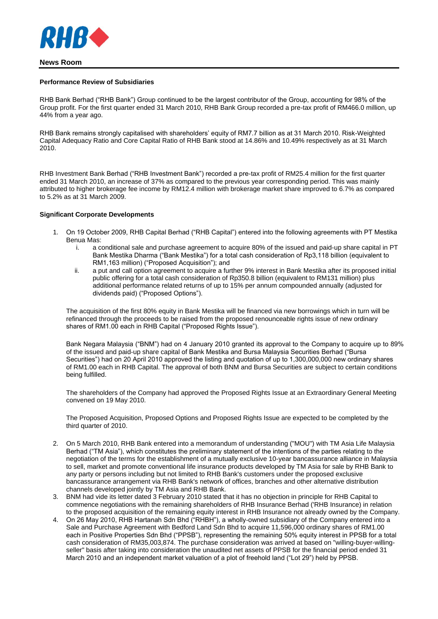

#### **Performance Review of Subsidiaries**

RHB Bank Berhad ("RHB Bank") Group continued to be the largest contributor of the Group, accounting for 98% of the Group profit. For the first quarter ended 31 March 2010, RHB Bank Group recorded a pre-tax profit of RM466.0 million, up 44% from a year ago.

RHB Bank remains strongly capitalised with shareholders' equity of RM7.7 billion as at 31 March 2010. Risk-Weighted Capital Adequacy Ratio and Core Capital Ratio of RHB Bank stood at 14.86% and 10.49% respectively as at 31 March 2010.

RHB Investment Bank Berhad ("RHB Investment Bank") recorded a pre-tax profit of RM25.4 million for the first quarter ended 31 March 2010, an increase of 37% as compared to the previous year corresponding period. This was mainly attributed to higher brokerage fee income by RM12.4 million with brokerage market share improved to 6.7% as compared to 5.2% as at 31 March 2009.

#### **Significant Corporate Developments**

- 1. On 19 October 2009, RHB Capital Berhad ("RHB Capital") entered into the following agreements with PT Mestika Benua Mas:
	- i. a conditional sale and purchase agreement to acquire 80% of the issued and paid-up share capital in PT Bank Mestika Dharma ("Bank Mestika") for a total cash consideration of Rp3,118 billion (equivalent to RM1,163 million) ("Proposed Acquisition"); and
	- ii. a put and call option agreement to acquire a further 9% interest in Bank Mestika after its proposed initial public offering for a total cash consideration of Rp350.8 billion (equivalent to RM131 million) plus additional performance related returns of up to 15% per annum compounded annually (adjusted for dividends paid) ("Proposed Options").

The acquisition of the first 80% equity in Bank Mestika will be financed via new borrowings which in turn will be refinanced through the proceeds to be raised from the proposed renounceable rights issue of new ordinary shares of RM1.00 each in RHB Capital ("Proposed Rights Issue").

Bank Negara Malaysia ("BNM") had on 4 January 2010 granted its approval to the Company to acquire up to 89% of the issued and paid-up share capital of Bank Mestika and Bursa Malaysia Securities Berhad ("Bursa Securities") had on 20 April 2010 approved the listing and quotation of up to 1,300,000,000 new ordinary shares of RM1.00 each in RHB Capital. The approval of both BNM and Bursa Securities are subject to certain conditions being fulfilled.

The shareholders of the Company had approved the Proposed Rights Issue at an Extraordinary General Meeting convened on 19 May 2010.

The Proposed Acquisition, Proposed Options and Proposed Rights Issue are expected to be completed by the third quarter of 2010.

- 2. On 5 March 2010, RHB Bank entered into a memorandum of understanding ("MOU") with TM Asia Life Malaysia Berhad ("TM Asia"), which constitutes the preliminary statement of the intentions of the parties relating to the negotiation of the terms for the establishment of a mutually exclusive 10-year bancassurance alliance in Malaysia to sell, market and promote conventional life insurance products developed by TM Asia for sale by RHB Bank to any party or persons including but not limited to RHB Bank's customers under the proposed exclusive bancassurance arrangement via RHB Bank's network of offices, branches and other alternative distribution channels developed jointly by TM Asia and RHB Bank.
- 3. BNM had vide its letter dated 3 February 2010 stated that it has no objection in principle for RHB Capital to commence negotiations with the remaining shareholders of RHB Insurance Berhad ('RHB Insurance) in relation to the proposed acquisition of the remaining equity interest in RHB Insurance not already owned by the Company.
- 4. On 26 May 2010, RHB Hartanah Sdn Bhd ("RHBH"), a wholly-owned subsidiary of the Company entered into a Sale and Purchase Agreement with Bedford Land Sdn Bhd to acquire 11,596,000 ordinary shares of RM1.00 each in Positive Properties Sdn Bhd ("PPSB"), representing the remaining 50% equity interest in PPSB for a total cash consideration of RM35,003,874. The purchase consideration was arrived at based on "willing-buyer-willingseller" basis after taking into consideration the unaudited net assets of PPSB for the financial period ended 31 March 2010 and an independent market valuation of a plot of freehold land ("Lot 29") held by PPSB.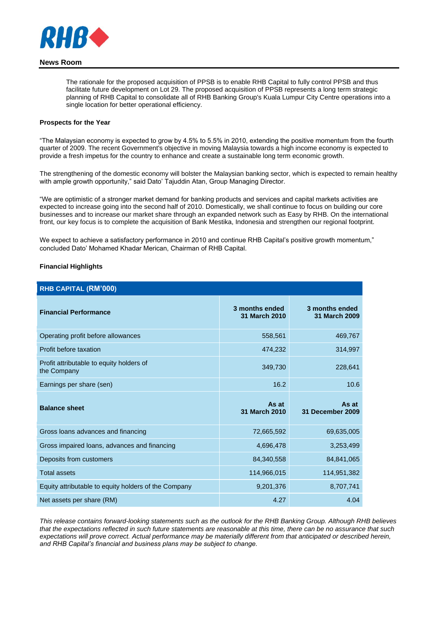

The rationale for the proposed acquisition of PPSB is to enable RHB Capital to fully control PPSB and thus facilitate future development on Lot 29. The proposed acquisition of PPSB represents a long term strategic planning of RHB Capital to consolidate all of RHB Banking Group's Kuala Lumpur City Centre operations into a single location for better operational efficiency.

## **Prospects for the Year**

"The Malaysian economy is expected to grow by 4.5% to 5.5% in 2010, extending the positive momentum from the fourth quarter of 2009. The recent Government's objective in moving Malaysia towards a high income economy is expected to provide a fresh impetus for the country to enhance and create a sustainable long term economic growth.

The strengthening of the domestic economy will bolster the Malaysian banking sector, which is expected to remain healthy with ample growth opportunity," said Dato' Tajuddin Atan, Group Managing Director.

"We are optimistic of a stronger market demand for banking products and services and capital markets activities are expected to increase going into the second half of 2010. Domestically, we shall continue to focus on building our core businesses and to increase our market share through an expanded network such as Easy by RHB. On the international front, our key focus is to complete the acquisition of Bank Mestika, Indonesia and strengthen our regional footprint.

We expect to achieve a satisfactory performance in 2010 and continue RHB Capital's positive growth momentum," concluded Dato' Mohamed Khadar Merican, Chairman of RHB Capital.

### **Financial Highlights**

| <b>RHB CAPITAL (RM'000)</b>                             |                                 |                                 |
|---------------------------------------------------------|---------------------------------|---------------------------------|
| <b>Financial Performance</b>                            | 3 months ended<br>31 March 2010 | 3 months ended<br>31 March 2009 |
| Operating profit before allowances                      | 558,561                         | 469,767                         |
| Profit before taxation                                  | 474,232                         | 314,997                         |
| Profit attributable to equity holders of<br>the Company | 349,730                         | 228,641                         |
| Earnings per share (sen)                                | 16.2                            | 10.6                            |
|                                                         |                                 |                                 |
| <b>Balance sheet</b>                                    | As at<br>31 March 2010          | As at<br>31 December 2009       |
| Gross loans advances and financing                      | 72,665,592                      | 69,635,005                      |
| Gross impaired loans, advances and financing            | 4,696,478                       | 3,253,499                       |
| Deposits from customers                                 | 84,340,558                      | 84,841,065                      |
| <b>Total assets</b>                                     | 114,966,015                     | 114,951,382                     |
| Equity attributable to equity holders of the Company    | 9,201,376                       | 8,707,741                       |

*This release contains forward-looking statements such as the outlook for the RHB Banking Group. Although RHB believes that the expectations reflected in such future statements are reasonable at this time, there can be no assurance that such expectations will prove correct. Actual performance may be materially different from that anticipated or described herein, and RHB Capital's financial and business plans may be subject to change.*